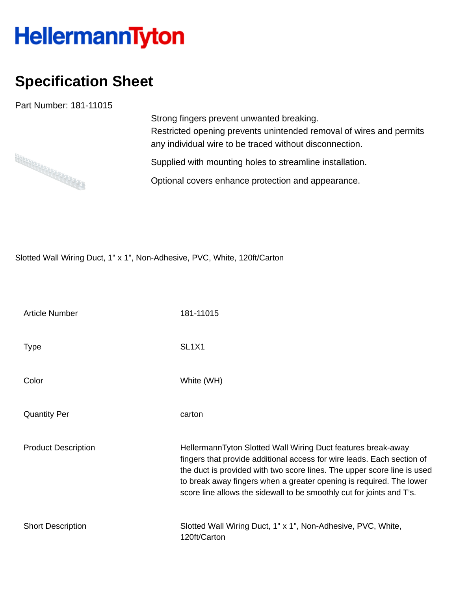## HellermannTyton

## **Specification Sheet**

Part Number: 181-11015



Strong fingers prevent unwanted breaking. Restricted opening prevents unintended removal of wires and permits any individual wire to be traced without disconnection.

Supplied with mounting holes to streamline installation.

Optional covers enhance protection and appearance.

Slotted Wall Wiring Duct, 1" x 1", Non-Adhesive, PVC, White, 120ft/Carton

| <b>Article Number</b>      | 181-11015                                                                                                                                                                                                                                                                                                                                                         |
|----------------------------|-------------------------------------------------------------------------------------------------------------------------------------------------------------------------------------------------------------------------------------------------------------------------------------------------------------------------------------------------------------------|
| <b>Type</b>                | SL <sub>1</sub> X <sub>1</sub>                                                                                                                                                                                                                                                                                                                                    |
| Color                      | White (WH)                                                                                                                                                                                                                                                                                                                                                        |
| <b>Quantity Per</b>        | carton                                                                                                                                                                                                                                                                                                                                                            |
| <b>Product Description</b> | HellermannTyton Slotted Wall Wiring Duct features break-away<br>fingers that provide additional access for wire leads. Each section of<br>the duct is provided with two score lines. The upper score line is used<br>to break away fingers when a greater opening is required. The lower<br>score line allows the sidewall to be smoothly cut for joints and T's. |
| <b>Short Description</b>   | Slotted Wall Wiring Duct, 1" x 1", Non-Adhesive, PVC, White,<br>120ft/Carton                                                                                                                                                                                                                                                                                      |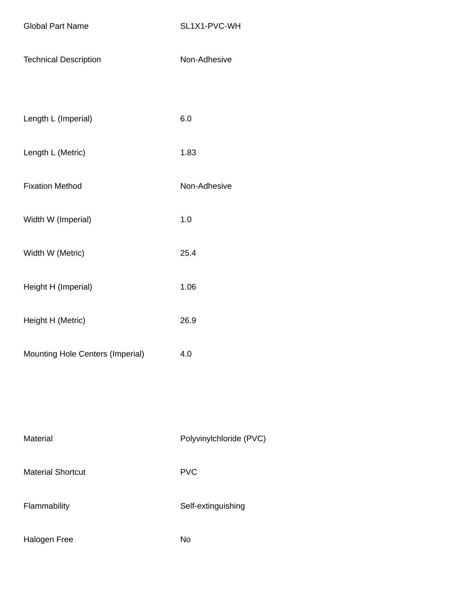Global Part Name SL1X1-PVC-WH

| <b>Technical Description</b> | Non-Adhesive |
|------------------------------|--------------|
|------------------------------|--------------|

| Length L (Imperial) | 6.0 |
|---------------------|-----|
|---------------------|-----|

- Length L (Metric) 1.83
- Fixation Method Non-Adhesive
- Width W (Imperial) 1.0
- Width W (Metric) 25.4
- Height H (Imperial) 1.06
- Height H (Metric) 26.9
- Mounting Hole Centers (Imperial) 4.0

| Material                 | Poly       |
|--------------------------|------------|
| <b>Material Shortcut</b> | <b>PVC</b> |

Flammability **Self-extinguishing** 

Polyvinylchloride (PVC)

Halogen Free No